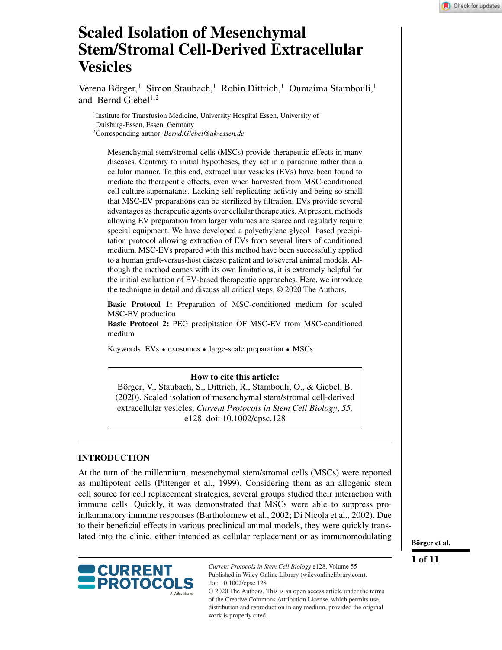# **Scaled Isolation of Mesenchymal Stem/Stromal Cell-Derived Extracellular Vesicles**

Verena Börger,<sup>1</sup> Simon Staubach,<sup>1</sup> Robin Dittrich,<sup>1</sup> Oumaima Stambouli,<sup>1</sup> and Bernd Giebel<sup>1,2</sup>

<sup>1</sup>Institute for Transfusion Medicine, University Hospital Essen, University of Duisburg-Essen, Essen, Germany 2Corresponding author: *Bernd.Giebel@uk-essen.de*

Mesenchymal stem/stromal cells (MSCs) provide therapeutic effects in many diseases. Contrary to initial hypotheses, they act in a paracrine rather than a cellular manner. To this end, extracellular vesicles (EVs) have been found to mediate the therapeutic effects, even when harvested from MSC-conditioned cell culture supernatants. Lacking self-replicating activity and being so small that MSC-EV preparations can be sterilized by filtration, EVs provide several advantages as therapeutic agents over cellular therapeutics. At present, methods allowing EV preparation from larger volumes are scarce and regularly require special equipment. We have developed a polyethylene glycol−based precipitation protocol allowing extraction of EVs from several liters of conditioned medium. MSC-EVs prepared with this method have been successfully applied to a human graft-versus-host disease patient and to several animal models. Although the method comes with its own limitations, it is extremely helpful for the initial evaluation of EV-based therapeutic approaches. Here, we introduce the technique in detail and discuss all critical steps. © 2020 The Authors.

**Basic Protocol 1:** Preparation of MSC-conditioned medium for scaled MSC-EV production

**Basic Protocol 2:** PEG precipitation OF MSC-EV from MSC-conditioned medium

Keywords: EVs • exosomes • large-scale preparation • MSCs

#### **How to cite this article:**

Börger, V., Staubach, S., Dittrich, R., Stambouli, O., & Giebel, B. (2020). Scaled isolation of mesenchymal stem/stromal cell-derived extracellular vesicles. *Current Protocols in Stem Cell Biology*, *55,* e128. doi: [10.1002/cpsc.128](https://doi.org/10.1002/cpsc.128)

## **INTRODUCTION**

At the turn of the millennium, mesenchymal stem/stromal cells (MSCs) were reported as multipotent cells (Pittenger et al., 1999). Considering them as an allogenic stem cell source for cell replacement strategies, several groups studied their interaction with immune cells. Quickly, it was demonstrated that MSCs were able to suppress proinflammatory immune responses (Bartholomew et al., 2002; Di Nicola et al., 2002). Due to their beneficial effects in various preclinical animal models, they were quickly translated into the clinic, either intended as cellular replacement or as immunomodulating



*Current Protocols in Stem Cell Biology* e128, Volume 55 Published in Wiley Online Library (wileyonlinelibrary.com). doi: 10.1002/cpsc.128 © 2020 The Authors. This is an open access article under the terms

of the [Creative Commons Attribution](http://creativecommons.org/licenses/by/4.0/) License, which permits use, distribution and reproduction in any medium, provided the original work is properly cited.

**Börger et al.**

**1 of 11**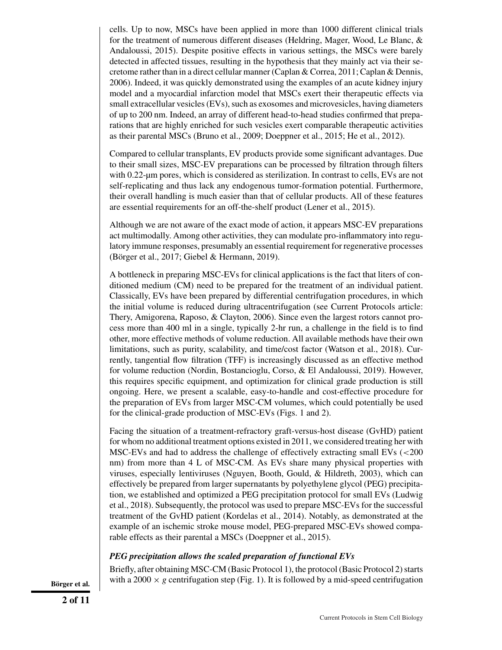cells. Up to now, MSCs have been applied in more than 1000 different clinical trials for the treatment of numerous different diseases (Heldring, Mager, Wood, Le Blanc, & Andaloussi, 2015). Despite positive effects in various settings, the MSCs were barely detected in affected tissues, resulting in the hypothesis that they mainly act via their secretome rather than in a direct cellular manner (Caplan & Correa, 2011; Caplan & Dennis, 2006). Indeed, it was quickly demonstrated using the examples of an acute kidney injury model and a myocardial infarction model that MSCs exert their therapeutic effects via small extracellular vesicles (EVs), such as exosomes and microvesicles, having diameters of up to 200 nm. Indeed, an array of different head-to-head studies confirmed that preparations that are highly enriched for such vesicles exert comparable therapeutic activities as their parental MSCs (Bruno et al., 2009; Doeppner et al., 2015; He et al., 2012).

Compared to cellular transplants, EV products provide some significant advantages. Due to their small sizes, MSC-EV preparations can be processed by filtration through filters with 0.22-um pores, which is considered as sterilization. In contrast to cells, EVs are not self-replicating and thus lack any endogenous tumor-formation potential. Furthermore, their overall handling is much easier than that of cellular products. All of these features are essential requirements for an off-the-shelf product (Lener et al., 2015).

Although we are not aware of the exact mode of action, it appears MSC-EV preparations act multimodally. Among other activities, they can modulate pro-inflammatory into regulatory immune responses, presumably an essential requirement for regenerative processes (Börger et al., 2017; Giebel & Hermann, 2019).

A bottleneck in preparing MSC-EVs for clinical applications is the fact that liters of conditioned medium (CM) need to be prepared for the treatment of an individual patient. Classically, EVs have been prepared by differential centrifugation procedures, in which the initial volume is reduced during ultracentrifugation (see Current Protocols article: Thery, Amigorena, Raposo, & Clayton, 2006). Since even the largest rotors cannot process more than 400 ml in a single, typically 2-hr run, a challenge in the field is to find other, more effective methods of volume reduction. All available methods have their own limitations, such as purity, scalability, and time/cost factor (Watson et al., 2018). Currently, tangential flow filtration (TFF) is increasingly discussed as an effective method for volume reduction (Nordin, Bostancioglu, Corso, & El Andaloussi, 2019). However, this requires specific equipment, and optimization for clinical grade production is still ongoing. Here, we present a scalable, easy-to-handle and cost-effective procedure for the preparation of EVs from larger MSC-CM volumes, which could potentially be used for the clinical-grade production of MSC-EVs (Figs. 1 and 2).

Facing the situation of a treatment-refractory graft-versus-host disease (GvHD) patient for whom no additional treatment options existed in 2011, we considered treating her with MSC-EVs and had to address the challenge of effectively extracting small EVs (<200 nm) from more than 4 L of MSC-CM. As EVs share many physical properties with viruses, especially lentiviruses (Nguyen, Booth, Gould, & Hildreth, 2003), which can effectively be prepared from larger supernatants by polyethylene glycol (PEG) precipitation, we established and optimized a PEG precipitation protocol for small EVs (Ludwig et al., 2018). Subsequently, the protocol was used to prepare MSC-EVs for the successful treatment of the GvHD patient (Kordelas et al., 2014). Notably, as demonstrated at the example of an ischemic stroke mouse model, PEG-prepared MSC-EVs showed comparable effects as their parental a MSCs (Doeppner et al., 2015).

## *PEG precipitation allows the scaled preparation of functional EVs*

Briefly, after obtaining MSC-CM (Basic Protocol 1), the protocol (Basic Protocol 2) starts **Börger et al.** with a 2000  $\times$  *g* centrifugation step (Fig. 1). It is followed by a mid-speed centrifugation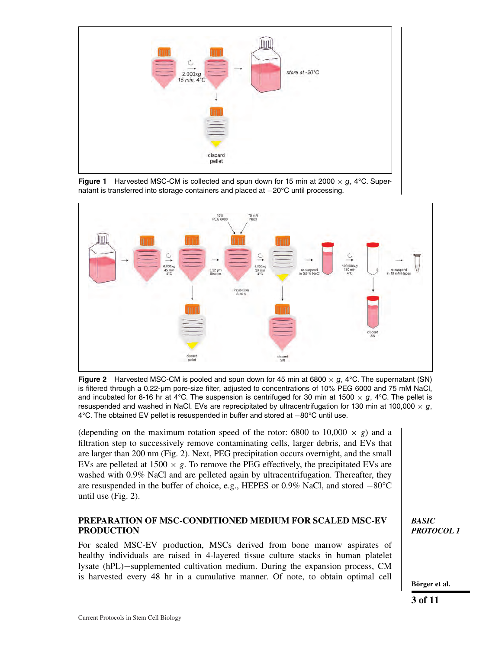

**Figure 1** Harvested MSC-CM is collected and spun down for 15 min at 2000  $\times$  g, 4°C. Supernatant is transferred into storage containers and placed at −20°C until processing.



**Figure 2** Harvested MSC-CM is pooled and spun down for 45 min at 6800  $\times$  g, 4 °C. The supernatant (SN) is filtered through a 0.22-μm pore-size filter, adjusted to concentrations of 10% PEG 6000 and 75 mM NaCl, and incubated for 8-16 hr at 4°C. The suspension is centrifuged for 30 min at 1500  $\times$  g, 4°C. The pellet is resuspended and washed in NaCl. EVs are reprecipitated by ultracentrifugation for 130 min at 100,000  $\times$  g, 4°C. The obtained EV pellet is resuspended in buffer and stored at −80°C until use.

(depending on the maximum rotation speed of the rotor: 6800 to  $10,000 \times g$ ) and a filtration step to successively remove contaminating cells, larger debris, and EVs that are larger than 200 nm (Fig. 2). Next, PEG precipitation occurs overnight, and the small EVs are pelleted at  $1500 \times g$ . To remove the PEG effectively, the precipitated EVs are washed with 0.9% NaCl and are pelleted again by ultracentrifugation. Thereafter, they are resuspended in the buffer of choice, e.g., HEPES or 0.9% NaCl, and stored −80°C until use (Fig. 2).

# **PREPARATION OF MSC-CONDITIONED MEDIUM FOR SCALED MSC-EV PRODUCTION**

For scaled MSC-EV production, MSCs derived from bone marrow aspirates of healthy individuals are raised in 4-layered tissue culture stacks in human platelet lysate (hPL)−supplemented cultivation medium. During the expansion process, CM is harvested every 48 hr in a cumulative manner. Of note, to obtain optimal cell **Börger et al.** 

*BASIC PROTOCOL 1*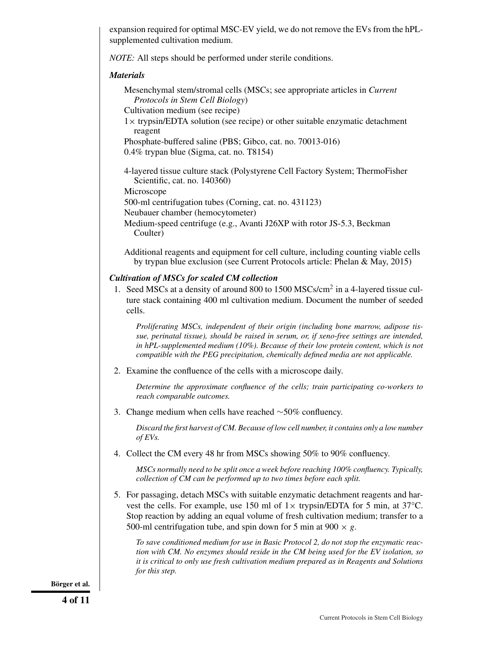expansion required for optimal MSC-EV yield, we do not remove the EVs from the hPLsupplemented cultivation medium.

*NOTE:* All steps should be performed under sterile conditions.

## *Materials*

Mesenchymal stem/stromal cells (MSCs; see appropriate articles in *Current Protocols in Stem Cell Biology*)

Cultivation medium (see recipe)

 $1 \times$  trypsin/EDTA solution (see recipe) or other suitable enzymatic detachment reagent

Phosphate-buffered saline (PBS; Gibco, cat. no. 70013-016) 0.4% trypan blue (Sigma, cat. no. T8154)

4-layered tissue culture stack (Polystyrene Cell Factory System; ThermoFisher Scientific, cat. no. 140360)

Microscope

500-ml centrifugation tubes (Corning, cat. no. 431123)

Neubauer chamber (hemocytometer)

Medium-speed centrifuge (e.g., Avanti J26XP with rotor JS-5.3, Beckman Coulter)

Additional reagents and equipment for cell culture, including counting viable cells by trypan blue exclusion (see Current Protocols article: Phelan & May, 2015)

# *Cultivation of MSCs for scaled CM collection*

1. Seed MSCs at a density of around 800 to 1500 MSCs/cm<sup>2</sup> in a 4-layered tissue culture stack containing 400 ml cultivation medium. Document the number of seeded cells.

*Proliferating MSCs, independent of their origin (including bone marrow, adipose tissue, perinatal tissue), should be raised in serum, or, if xeno-free settings are intended, in hPL-supplemented medium (10%). Because of their low protein content, which is not compatible with the PEG precipitation, chemically defined media are not applicable.*

2. Examine the confluence of the cells with a microscope daily.

*Determine the approximate confluence of the cells; train participating co-workers to reach comparable outcomes.*

3. Change medium when cells have reached ∼50% confluency.

*Discard the first harvest of CM. Because of low cell number, it contains only a low number of EVs.*

4. Collect the CM every 48 hr from MSCs showing 50% to 90% confluency.

*MSCs normally need to be split once a week before reaching 100% confluency. Typically, collection of CM can be performed up to two times before each split.*

5. For passaging, detach MSCs with suitable enzymatic detachment reagents and harvest the cells. For example, use 150 ml of  $1 \times$  trypsin/EDTA for 5 min, at 37 °C. Stop reaction by adding an equal volume of fresh cultivation medium; transfer to a 500-ml centrifugation tube, and spin down for 5 min at 900  $\times$  g.

*To save conditioned medium for use in Basic Protocol 2, do not stop the enzymatic reaction with CM. No enzymes should reside in the CM being used for the EV isolation, so it is critical to only use fresh cultivation medium prepared as in Reagents and Solutions for this step.*

**Börger et al.**

**4 of 11**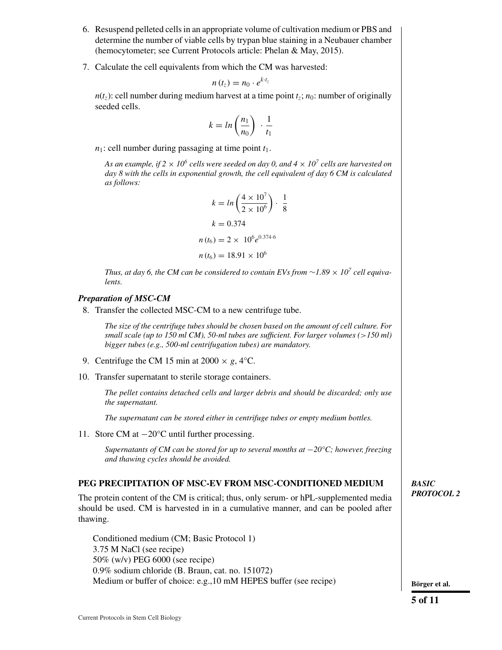- 6. Resuspend pelleted cells in an appropriate volume of cultivation medium or PBS and determine the number of viable cells by trypan blue staining in a Neubauer chamber (hemocytometer; see Current Protocols article: Phelan & May, 2015).
- 7. Calculate the cell equivalents from which the CM was harvested:

$$
n(t_z)=n_0\cdot e^{k\cdot t_z}
$$

 $n(t_7)$ : cell number during medium harvest at a time point  $t_7$ ;  $n_0$ : number of originally seeded cells.

$$
k = \ln\left(\frac{n_1}{n_0}\right) \cdot \frac{1}{t_1}
$$

 $n_1$ : cell number during passaging at time point  $t_1$ .

As an example, if  $2 \times 10^6$  cells were seeded on day 0, and  $4 \times 10^7$  cells are harvested on *day 8 with the cells in exponential growth, the cell equivalent of day 6 CM is calculated as follows:*

$$
k = \ln\left(\frac{4 \times 10^7}{2 \times 10^6}\right) \cdot \frac{1}{8}
$$

$$
k = 0.374
$$

$$
n(t_6) = 2 \times 10^6 e^{0.374 \cdot 6}
$$

$$
n(t_6) = 18.91 \times 10^6
$$

*Thus, at day 6, the CM can be considered to contain EVs from*  $\sim$ 1.89  $\times$  10<sup>7</sup> *cell equivalents.*

## *Preparation of MSC-CM*

8. Transfer the collected MSC-CM to a new centrifuge tube.

*The size of the centrifuge tubes should be chosen based on the amount of cell culture. For small scale (up to 150 ml CM), 50-ml tubes are sufficient. For larger volumes (*>*150 ml) bigger tubes (e.g., 500-ml centrifugation tubes) are mandatory.*

- 9. Centrifuge the CM 15 min at  $2000 \times g$ ,  $4^{\circ}$ C.
- 10. Transfer supernatant to sterile storage containers.

*The pellet contains detached cells and larger debris and should be discarded; only use the supernatant.*

*The supernatant can be stored either in centrifuge tubes or empty medium bottles.*

11. Store CM at −20°C until further processing.

*Supernatants of CM can be stored for up to several months at* −*20°C; however, freezing and thawing cycles should be avoided.*

# **PEG PRECIPITATION OF MSC-EV FROM MSC-CONDITIONED MEDIUM**

The protein content of the CM is critical; thus, only serum- or hPL-supplemented media should be used. CM is harvested in in a cumulative manner, and can be pooled after thawing.

Conditioned medium (CM; Basic Protocol 1) 3.75 M NaCl (see recipe) 50% (w/v) PEG 6000 (see recipe) 0.9% sodium chloride (B. Braun, cat. no. 151072) Medium or buffer of choice: e.g., 10 mM HEPES buffer (see recipe) **Börger et al.** 

## *BASIC PROTOCOL 2*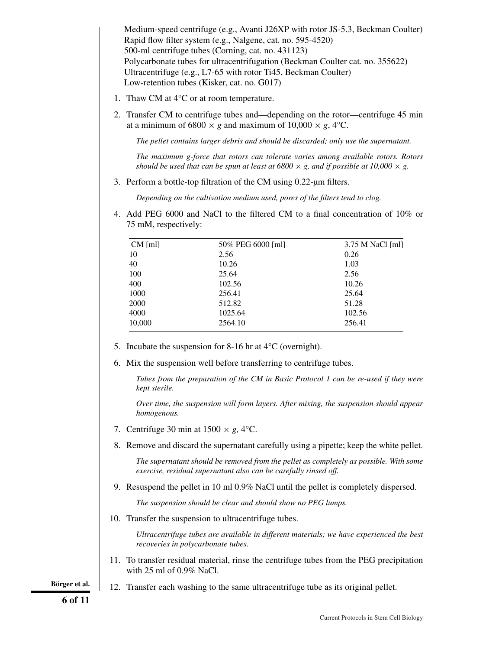Medium-speed centrifuge (e.g., Avanti J26XP with rotor JS-5.3, Beckman Coulter) Rapid flow filter system (e.g., Nalgene, cat. no. 595-4520) 500-ml centrifuge tubes (Corning, cat. no. 431123) Polycarbonate tubes for ultracentrifugation (Beckman Coulter cat. no. 355622) Ultracentrifuge (e.g., L7-65 with rotor Ti45, Beckman Coulter) Low-retention tubes (Kisker, cat. no. G017)

- 1. Thaw CM at 4°C or at room temperature.
- 2. Transfer CM to centrifuge tubes and—depending on the rotor—centrifuge 45 min at a minimum of 6800  $\times$  *g* and maximum of 10,000  $\times$  *g*, 4°C.

*The pellet contains larger debris and should be discarded; only use the supernatant.*

*The maximum g-force that rotors can tolerate varies among available rotors. Rotors should be used that can be spun at least at 6800*  $\times$  *g, and if possible at 10,000*  $\times$  *g.* 

3. Perform a bottle-top filtration of the CM using 0.22-μm filters.

*Depending on the cultivation medium used, pores of the filters tend to clog.*

4. Add PEG 6000 and NaCl to the filtered CM to a final concentration of 10% or 75 mM, respectively:

| $CM$ [ml] | 50% PEG 6000 [ml] | $3.75$ M NaCl [ml] |
|-----------|-------------------|--------------------|
| 10        | 2.56              | 0.26               |
| 40        | 10.26             | 1.03               |
| 100       | 25.64             | 2.56               |
| 400       | 102.56            | 10.26              |
| 1000      | 256.41            | 25.64              |
| 2000      | 512.82            | 51.28              |
| 4000      | 1025.64           | 102.56             |
| 10,000    | 2564.10           | 256.41             |

- 5. Incubate the suspension for 8-16 hr at  $4^{\circ}$ C (overnight).
- 6. Mix the suspension well before transferring to centrifuge tubes.

*Tubes from the preparation of the CM in Basic Protocol 1 can be re-used if they were kept sterile.*

*Over time, the suspension will form layers. After mixing, the suspension should appear homogenous.*

- 7. Centrifuge 30 min at  $1500 \times g$ ,  $4^{\circ}$ C.
- 8. Remove and discard the supernatant carefully using a pipette; keep the white pellet.

*The supernatant should be removed from the pellet as completely as possible. With some exercise, residual supernatant also can be carefully rinsed off.*

9. Resuspend the pellet in 10 ml 0.9% NaCl until the pellet is completely dispersed.

*The suspension should be clear and should show no PEG lumps.*

10. Transfer the suspension to ultracentrifuge tubes.

*Ultracentrifuge tubes are available in different materials; we have experienced the best recoveries in polycarbonate tubes.*

11. To transfer residual material, rinse the centrifuge tubes from the PEG precipitation with 25 ml of 0.9% NaCl.

**Börger et al.** 12. Transfer each washing to the same ultracentrifuge tube as its original pellet.

**6 of 11**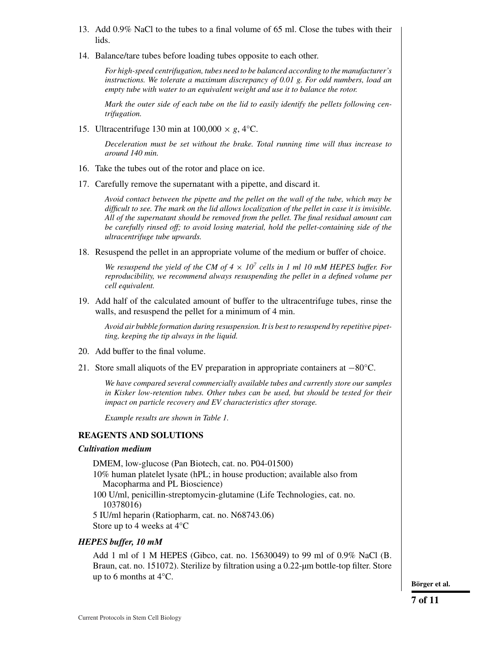- 13. Add 0.9% NaCl to the tubes to a final volume of 65 ml. Close the tubes with their lids.
- 14. Balance/tare tubes before loading tubes opposite to each other.

*For high-speed centrifugation, tubes need to be balanced according to the manufacturer's instructions. We tolerate a maximum discrepancy of 0.01 g. For odd numbers, load an empty tube with water to an equivalent weight and use it to balance the rotor.*

*Mark the outer side of each tube on the lid to easily identify the pellets following centrifugation.*

15. Ultracentrifuge 130 min at  $100,000 \times g$ ,  $4^{\circ}$ C.

*Deceleration must be set without the brake. Total running time will thus increase to around 140 min.*

- 16. Take the tubes out of the rotor and place on ice.
- 17. Carefully remove the supernatant with a pipette, and discard it.

*Avoid contact between the pipette and the pellet on the wall of the tube, which may be difficult to see. The mark on the lid allows localization of the pellet in case it is invisible. All of the supernatant should be removed from the pellet. The final residual amount can be carefully rinsed off; to avoid losing material, hold the pellet-containing side of the ultracentrifuge tube upwards.*

18. Resuspend the pellet in an appropriate volume of the medium or buffer of choice.

*We resuspend the yield of the CM of*  $4 \times 10^7$  *cells in 1 ml 10 mM HEPES buffer. For reproducibility, we recommend always resuspending the pellet in a defined volume per cell equivalent.*

19. Add half of the calculated amount of buffer to the ultracentrifuge tubes, rinse the walls, and resuspend the pellet for a minimum of 4 min.

*Avoid air bubble formation during resuspension. It is best to resuspend by repetitive pipetting, keeping the tip always in the liquid.*

- 20. Add buffer to the final volume.
- 21. Store small aliquots of the EV preparation in appropriate containers at −80°C.

*We have compared several commercially available tubes and currently store our samples in Kisker low-retention tubes. Other tubes can be used, but should be tested for their impact on particle recovery and EV characteristics after storage.*

*Example results are shown in Table 1.*

# **REAGENTS AND SOLUTIONS**

## *Cultivation medium*

DMEM, low-glucose (Pan Biotech, cat. no. P04-01500)

- 10% human platelet lysate (hPL; in house production; available also from Macopharma and PL Bioscience)
- 100 U/ml, penicillin-streptomycin-glutamine (Life Technologies, cat. no. 10378016)

5 IU/ml heparin (Ratiopharm, cat. no. N68743.06) Store up to 4 weeks at 4°C

## *HEPES buffer, 10 mM*

Add 1 ml of 1 M HEPES (Gibco, cat. no. 15630049) to 99 ml of 0.9% NaCl (B. Braun, cat. no. 151072). Sterilize by filtration using a 0.22-um bottle-top filter. Store up to 6 months at  $4^{\circ}$ C.

**Börger et al.**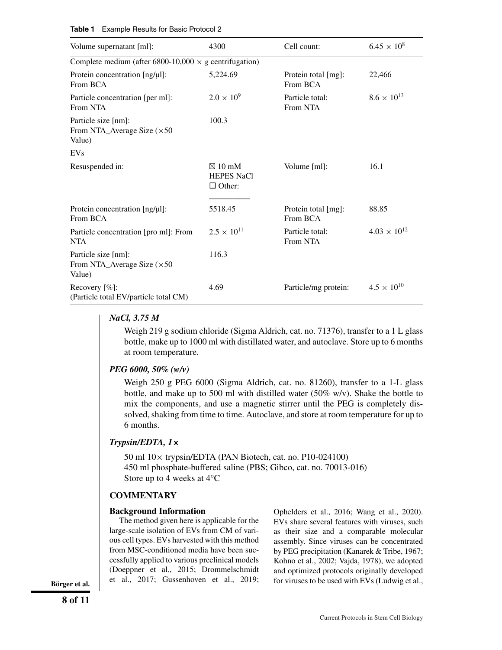| Volume supernatant [ml]:                                            | 4300                                                    | Cell count:                     | $6.45 \times 10^{8}$  |  |  |
|---------------------------------------------------------------------|---------------------------------------------------------|---------------------------------|-----------------------|--|--|
| Complete medium (after 6800-10,000 $\times$ g centrifugation)       |                                                         |                                 |                       |  |  |
| Protein concentration [ng/µl]:<br>From BCA                          | 5,224.69                                                | Protein total [mg]:<br>From BCA | 22,466                |  |  |
| Particle concentration [per ml]:<br>From NTA                        | $2.0 \times 10^{9}$                                     | Particle total:<br>From NTA     | $8.6 \times 10^{13}$  |  |  |
| Particle size [nm]:<br>From NTA_Average Size $(\times 50$<br>Value) | 100.3                                                   |                                 |                       |  |  |
| EVs                                                                 |                                                         |                                 |                       |  |  |
| Resuspended in:                                                     | $\boxtimes$ 10 mM<br><b>HEPES NaCl</b><br>$\Box$ Other: | Volume [ml]:                    | 16.1                  |  |  |
| Protein concentration [ng/µl]:<br>From BCA                          | 5518.45                                                 | Protein total [mg]:<br>From BCA | 88.85                 |  |  |
| Particle concentration [pro ml]: From<br><b>NTA</b>                 | $2.5 \times 10^{11}$                                    | Particle total:<br>From NTA     | $4.03 \times 10^{12}$ |  |  |
| Particle size [nm]:<br>From NTA_Average Size $(\times 50$<br>Value) | 116.3                                                   |                                 |                       |  |  |
| Recovery $[\%]$ :<br>(Particle total EV/particle total CM)          | 4.69                                                    | Particle/mg protein:            | $4.5 \times 10^{10}$  |  |  |

#### **Table 1** Example Results for Basic Protocol 2

## *NaCl, 3.75 M*

Weigh 219 g sodium chloride (Sigma Aldrich, cat. no. 71376), transfer to a 1 L glass bottle, make up to 1000 ml with distillated water, and autoclave. Store up to 6 months at room temperature.

## *PEG 6000, 50% (w/v)*

Weigh 250 g PEG 6000 (Sigma Aldrich, cat. no. 81260), transfer to a 1-L glass bottle, and make up to 500 ml with distilled water (50% w/v). Shake the bottle to mix the components, and use a magnetic stirrer until the PEG is completely dissolved, shaking from time to time. Autoclave, and store at room temperature for up to 6 months.

## *Trypsin/EDTA, 1***×**

50 ml 10× trypsin/EDTA (PAN Biotech, cat. no. P10-024100) 450 ml phosphate-buffered saline (PBS; Gibco, cat. no. 70013-016) Store up to 4 weeks at 4°C

#### **COMMENTARY**

#### **Background Information**

The method given here is applicable for the large-scale isolation of EVs from CM of various cell types. EVs harvested with this method from MSC-conditioned media have been successfully applied to various preclinical models (Doeppner et al., 2015; Drommelschmidt et al., 2017; Gussenhoven et al., 2019;

Ophelders et al., 2016; Wang et al., 2020). EVs share several features with viruses, such as their size and a comparable molecular assembly. Since viruses can be concentrated by PEG precipitation (Kanarek & Tribe, 1967; Kohno et al., 2002; Vajda, 1978), we adopted and optimized protocols originally developed **for al.** et al., 2017; Gussenhoven et al., 2019; for viruses to be used with EVs (Ludwig et al.,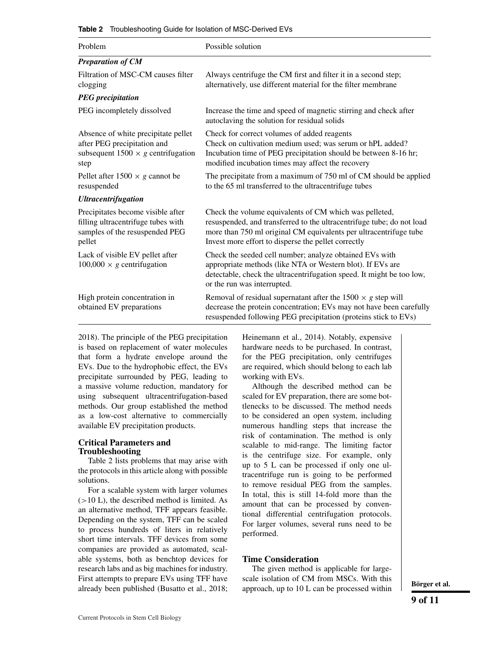|  | <b>Table 2</b> Troubleshooting Guide for Isolation of MSC-Derived EVs |  |  |  |  |
|--|-----------------------------------------------------------------------|--|--|--|--|
|--|-----------------------------------------------------------------------|--|--|--|--|

| Problem                                                                                                                 | Possible solution                                                                                                                                                                                                                                           |  |  |  |
|-------------------------------------------------------------------------------------------------------------------------|-------------------------------------------------------------------------------------------------------------------------------------------------------------------------------------------------------------------------------------------------------------|--|--|--|
| <b>Preparation of CM</b>                                                                                                |                                                                                                                                                                                                                                                             |  |  |  |
| Filtration of MSC-CM causes filter<br>clogging                                                                          | Always centrifuge the CM first and filter it in a second step;<br>alternatively, use different material for the filter membrane                                                                                                                             |  |  |  |
| <b>PEG</b> precipitation                                                                                                |                                                                                                                                                                                                                                                             |  |  |  |
| PEG incompletely dissolved                                                                                              | Increase the time and speed of magnetic stirring and check after<br>autoclaving the solution for residual solids                                                                                                                                            |  |  |  |
| Absence of white precipitate pellet<br>after PEG precipitation and<br>subsequent $1500 \times g$ centrifugation<br>step | Check for correct volumes of added reagents<br>Check on cultivation medium used; was serum or hPL added?<br>Incubation time of PEG precipitation should be between 8-16 hr;<br>modified incubation times may affect the recovery                            |  |  |  |
| Pellet after $1500 \times g$ cannot be<br>resuspended                                                                   | The precipitate from a maximum of 750 ml of CM should be applied<br>to the 65 ml transferred to the ultracentrifuge tubes                                                                                                                                   |  |  |  |
| <b>Ultracentrifugation</b>                                                                                              |                                                                                                                                                                                                                                                             |  |  |  |
| Precipitates become visible after<br>filling ultracentrifuge tubes with<br>samples of the resuspended PEG<br>pellet     | Check the volume equivalents of CM which was pelleted,<br>resuspended, and transferred to the ultracentrifuge tube; do not load<br>more than 750 ml original CM equivalents per ultracentrifuge tube<br>Invest more effort to disperse the pellet correctly |  |  |  |
| Lack of visible EV pellet after<br>$100,000 \times g$ centrifugation                                                    | Check the seeded cell number; analyze obtained EVs with<br>appropriate methods (like NTA or Western blot). If EVs are<br>detectable, check the ultracentrifugation speed. It might be too low,<br>or the run was interrupted.                               |  |  |  |
| High protein concentration in<br>obtained EV preparations                                                               | Removal of residual supernatant after the $1500 \times g$ step will<br>decrease the protein concentration; EVs may not have been carefully<br>resuspended following PEG precipitation (proteins stick to EVs)                                               |  |  |  |

2018). The principle of the PEG precipitation is based on replacement of water molecules that form a hydrate envelope around the EVs. Due to the hydrophobic effect, the EVs precipitate surrounded by PEG, leading to a massive volume reduction, mandatory for using subsequent ultracentrifugation-based methods. Our group established the method as a low-cost alternative to commercially available EV precipitation products.

### **Critical Parameters and Troubleshooting**

Table 2 lists problems that may arise with the protocols in this article along with possible solutions.

For a scalable system with larger volumes  $(>10$  L), the described method is limited. As an alternative method, TFF appears feasible. Depending on the system, TFF can be scaled to process hundreds of liters in relatively short time intervals. TFF devices from some companies are provided as automated, scalable systems, both as benchtop devices for research labs and as big machines for industry. First attempts to prepare EVs using TFF have already been published (Busatto et al., 2018; Heinemann et al., 2014). Notably, expensive hardware needs to be purchased. In contrast, for the PEG precipitation, only centrifuges are required, which should belong to each lab working with EVs.

Although the described method can be scaled for EV preparation, there are some bottlenecks to be discussed. The method needs to be considered an open system, including numerous handling steps that increase the risk of contamination. The method is only scalable to mid-range. The limiting factor is the centrifuge size. For example, only up to 5 L can be processed if only one ultracentrifuge run is going to be performed to remove residual PEG from the samples. In total, this is still 14-fold more than the amount that can be processed by conventional differential centrifugation protocols. For larger volumes, several runs need to be performed.

## **Time Consideration**

The given method is applicable for largescale isolation of CM from MSCs. With this approach, up to 10 L can be processed within **Börger et al.**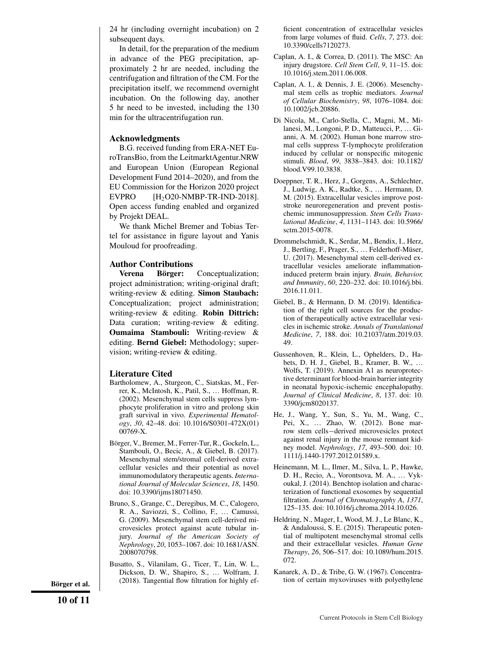24 hr (including overnight incubation) on 2 subsequent days.

In detail, for the preparation of the medium in advance of the PEG precipitation, approximately 2 hr are needed, including the centrifugation and filtration of the CM. For the precipitation itself, we recommend overnight incubation. On the following day, another 5 hr need to be invested, including the 130 min for the ultracentrifugation run.

#### **Acknowledgments**

B.G. received funding from ERA-NET EuroTransBio, from the LeitmarktAgentur.NRW and European Union (European Regional Development Fund 2014–2020), and from the EU Commission for the Horizon 2020 project EVPRO  $[H_2O20-NMBP-TR-IND-2018]$ . Open access funding enabled and organized by Projekt DEAL.

We thank Michel Bremer and Tobias Tertel for assistance in figure layout and Yanis Mouloud for proofreading.

#### **Author Contributions**

**Verena Börger:** Conceptualization; project administration; writing-original draft; writing-review & editing. **Simon Staubach:** Conceptualization; project administration; writing-review & editing. **Robin Dittrich:** Data curation; writing-review & editing. **Oumaima Stambouli:** Writing-review & editing. **Bernd Giebel:** Methodology; supervision; writing-review & editing.

#### **Literature Cited**

- Bartholomew, A., Sturgeon, C., Siatskas, M., Ferrer, K., McIntosh, K., Patil, S., … Hoffman, R. (2002). Mesenchymal stem cells suppress lymphocyte proliferation in vitro and prolong skin graft survival in vivo. *Experimental Hematology*, *30*, 42–48. doi: [10.1016/S0301-472X\(01\)](http://doi.org/10.1016/S0301-472X(01)00769-X) [00769-X.](http://doi.org/10.1016/S0301-472X(01)00769-X)
- Börger, V., Bremer, M., Ferrer-Tur, R., Gockeln, L., Stambouli, O., Becic, A., & Giebel, B. (2017). Mesenchymal stem/stromal cell-derived extracellular vesicles and their potential as novel immunomodulatory therapeutic agents. *International Journal of Molecular Sciences*, *18*, 1450. doi: [10.3390/ijms18071450.](http://doi.org/10.3390/ijms18071450)
- Bruno, S., Grange, C., Deregibus, M. C., Calogero, R. A., Saviozzi, S., Collino, F., … Camussi, G. (2009). Mesenchymal stem cell-derived microvesicles protect against acute tubular injury. *Journal of the American Society of Nephrology*, *20*, 1053–1067. doi: [10.1681/ASN.](http://doi.org/10.1681/ASN.2008070798) [2008070798.](http://doi.org/10.1681/ASN.2008070798)

Busatto, S., Vilanilam, G., Ticer, T., Lin, W. L., Dickson, D. W., Shapiro, S., … Wolfram, J. **Börger et al.** (2018). Tangential flow filtration for highly ef-<br>**tion** of certain myxoviruses with polyethylene

ficient concentration of extracellular vesicles from large volumes of fluid. *Cells*, *7*, 273. doi: [10.3390/cells7120273.](http://doi.org/10.3390/cells7120273)

- Caplan, A. I., & Correa, D. (2011). The MSC: An injury drugstore. *Cell Stem Cell*, *9*, 11–15. doi: [10.1016/j.stem.2011.06.008.](http://doi.org/10.1016/j.stem.2011.06.008)
- Caplan, A. I., & Dennis, J. E. (2006). Mesenchymal stem cells as trophic mediators. *Journal of Cellular Biochemistry*, *98*, 1076–1084. doi: [10.1002/jcb.20886.](http://doi.org/10.1002/jcb.20886)
- Di Nicola, M., Carlo-Stella, C., Magni, M., Milanesi, M., Longoni, P. D., Matteucci, P., … Gianni, A. M. (2002). Human bone marrow stromal cells suppress T-lymphocyte proliferation induced by cellular or nonspecific mitogenic stimuli. *Blood*, *99*, 3838–3843. doi: [10.1182/](http://doi.org/10.1182/blood.V99.10.3838) [blood.V99.10.3838.](http://doi.org/10.1182/blood.V99.10.3838)
- Doeppner, T. R., Herz, J., Gorgens, A., Schlechter, J., Ludwig, A. K., Radtke, S., … Hermann, D. M. (2015). Extracellular vesicles improve poststroke neuroregeneration and prevent postischemic immunosuppression. *Stem Cells Translational Medicine*, *4*, 1131–1143. doi: [10.5966/](http://doi.org/10.5966/sctm.2015-0078) [sctm.2015-0078.](http://doi.org/10.5966/sctm.2015-0078)
- Drommelschmidt, K., Serdar, M., Bendix, I., Herz, J., Bertling, F., Prager, S., … Felderhoff-Müser, U. (2017). Mesenchymal stem cell-derived extracellular vesicles ameliorate inflammationinduced preterm brain injury. *Brain, Behavior, and Immunity*, *60*, 220–232. doi: [10.1016/j.bbi.](http://doi.org/10.1016/j.bbi.2016.11.011) [2016.11.011.](http://doi.org/10.1016/j.bbi.2016.11.011)
- Giebel, B., & Hermann, D. M. (2019). Identification of the right cell sources for the production of therapeutically active extracellular vesicles in ischemic stroke. *Annals of Translational Medicine*, *7*, 188. doi: [10.21037/atm.2019.03.](http://doi.org/10.21037/atm.2019.03.49) [49.](http://doi.org/10.21037/atm.2019.03.49)
- Gussenhoven, R., Klein, L., Ophelders, D., Habets, D. H. J., Giebel, B., Kramer, B. W., … Wolfs, T. (2019). Annexin A1 as neuroprotective determinant for blood-brain barrier integrity in neonatal hypoxic-ischemic encephalopathy. *Journal of Clinical Medicine*, *8*, 137. doi: [10.](http://doi.org/10.3390/jcm8020137) [3390/jcm8020137.](http://doi.org/10.3390/jcm8020137)
- He, J., Wang, Y., Sun, S., Yu, M., Wang, C., Pei, X., … Zhao, W. (2012). Bone marrow stem cells−derived microvesicles protect against renal injury in the mouse remnant kidney model. *Nephrology*, *17*, 493–500. doi: [10.](http://doi.org/10.1111/j.1440-1797.2012.01589.x) [1111/j.1440-1797.2012.01589.x.](http://doi.org/10.1111/j.1440-1797.2012.01589.x)
- Heinemann, M. L., Ilmer, M., Silva, L. P., Hawke, D. H., Recio, A., Vorontsova, M. A., … Vykoukal, J. (2014). Benchtop isolation and characterization of functional exosomes by sequential filtration. *Journal of Chromatography A*, *1371*, 125–135. doi: [10.1016/j.chroma.2014.10.026.](http://doi.org/10.1016/j.chroma.2014.10.026)
- Heldring, N., Mager, I., Wood, M. J., Le Blanc, K., & Andaloussi, S. E. (2015). Therapeutic potential of multipotent mesenchymal stromal cells and their extracellular vesicles. *Human Gene Therapy*, *26*, 506–517. doi: [10.1089/hum.2015.](http://doi.org/10.1089/hum.2015.072) [072.](http://doi.org/10.1089/hum.2015.072)
- Kanarek, A. D., & Tribe, G. W. (1967). Concentra-